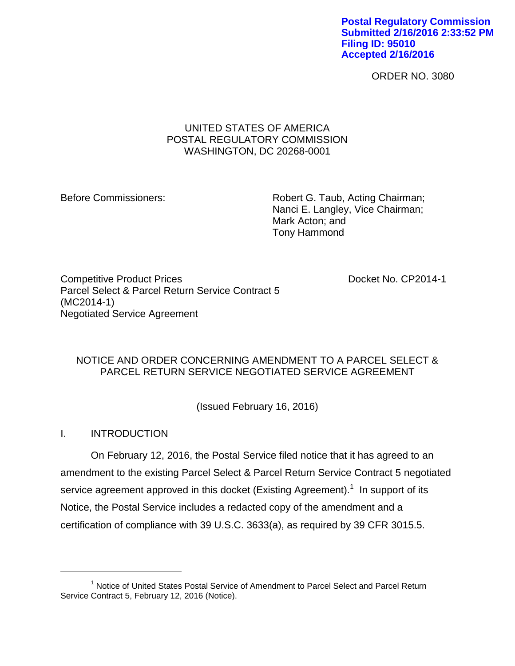**Postal Regulatory Commission Submitted 2/16/2016 2:33:52 PM Filing ID: 95010 Accepted 2/16/2016**

ORDER NO. 3080

## UNITED STATES OF AMERICA POSTAL REGULATORY COMMISSION WASHINGTON, DC 20268-0001

Before Commissioners: Robert G. Taub, Acting Chairman; Nanci E. Langley, Vice Chairman; Mark Acton; and Tony Hammond

Competitive Product Prices **Docket No. CP2014-1** Parcel Select & Parcel Return Service Contract 5 (MC2014-1) Negotiated Service Agreement

# NOTICE AND ORDER CONCERNING AMENDMENT TO A PARCEL SELECT & PARCEL RETURN SERVICE NEGOTIATED SERVICE AGREEMENT

(Issued February 16, 2016)

I. INTRODUCTION

 $\overline{a}$ 

On February 12, 2016, the Postal Service filed notice that it has agreed to an amendment to the existing Parcel Select & Parcel Return Service Contract 5 negotiated service agreement approved in this docket (Existing Agreement).<sup>1</sup> In support of its Notice, the Postal Service includes a redacted copy of the amendment and a certification of compliance with 39 U.S.C. 3633(a), as required by 39 CFR 3015.5.

<sup>&</sup>lt;sup>1</sup> Notice of United States Postal Service of Amendment to Parcel Select and Parcel Return Service Contract 5, February 12, 2016 (Notice).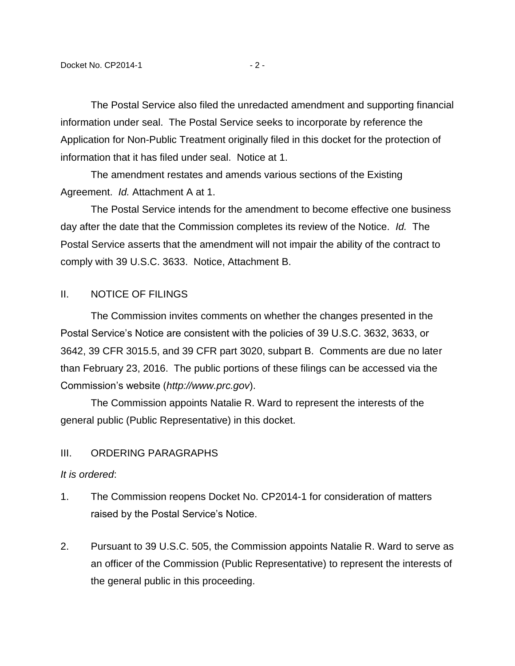The Postal Service also filed the unredacted amendment and supporting financial information under seal. The Postal Service seeks to incorporate by reference the Application for Non-Public Treatment originally filed in this docket for the protection of information that it has filed under seal. Notice at 1.

The amendment restates and amends various sections of the Existing Agreement. *Id.* Attachment A at 1.

The Postal Service intends for the amendment to become effective one business day after the date that the Commission completes its review of the Notice. *Id.* The Postal Service asserts that the amendment will not impair the ability of the contract to comply with 39 U.S.C. 3633. Notice, Attachment B.

### II. NOTICE OF FILINGS

The Commission invites comments on whether the changes presented in the Postal Service's Notice are consistent with the policies of 39 U.S.C. 3632, 3633, or 3642, 39 CFR 3015.5, and 39 CFR part 3020, subpart B. Comments are due no later than February 23, 2016. The public portions of these filings can be accessed via the Commission's website (*http://www.prc.gov*).

The Commission appoints Natalie R. Ward to represent the interests of the general public (Public Representative) in this docket.

## III. ORDERING PARAGRAPHS

#### *It is ordered*:

- 1. The Commission reopens Docket No. CP2014-1 for consideration of matters raised by the Postal Service's Notice.
- 2. Pursuant to 39 U.S.C. 505, the Commission appoints Natalie R. Ward to serve as an officer of the Commission (Public Representative) to represent the interests of the general public in this proceeding.